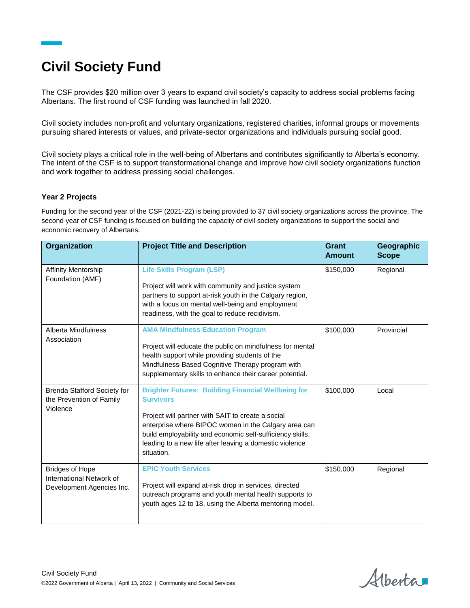## **Civil Society Fund**

The CSF provides \$20 million over 3 years to expand civil society's capacity to address social problems facing Albertans. The first round of CSF funding was launched in fall 2020.

Civil society includes non-profit and voluntary organizations, registered charities, informal groups or movements pursuing shared interests or values, and private-sector organizations and individuals pursuing social good.

Civil society plays a critical role in the well-being of Albertans and contributes significantly to Alberta's economy. The intent of the CSF is to support transformational change and improve how civil society organizations function and work together to address pressing social challenges.

## **Year 2 Projects**

Funding for the second year of the CSF (2021-22) is being provided to 37 civil society organizations across the province. The second year of CSF funding is focused on building the capacity of civil society organizations to support the social and economic recovery of Albertans.

| Organization                                                                    | <b>Project Title and Description</b>                                                                                                                                                                                                                                                                                             | Grant<br><b>Amount</b> | Geographic<br><b>Scope</b> |
|---------------------------------------------------------------------------------|----------------------------------------------------------------------------------------------------------------------------------------------------------------------------------------------------------------------------------------------------------------------------------------------------------------------------------|------------------------|----------------------------|
| <b>Affinity Mentorship</b><br>Foundation (AMF)                                  | <b>Life Skills Program (LSP)</b><br>Project will work with community and justice system<br>partners to support at-risk youth in the Calgary region,<br>with a focus on mental well-being and employment<br>readiness, with the goal to reduce recidivism.                                                                        | \$150,000              | Regional                   |
| Alberta Mindfulness<br>Association                                              | <b>AMA Mindfulness Education Program</b><br>Project will educate the public on mindfulness for mental<br>health support while providing students of the<br>Mindfulness-Based Cognitive Therapy program with<br>supplementary skills to enhance their career potential.                                                           | \$100,000              | Provincial                 |
| <b>Brenda Stafford Society for</b><br>the Prevention of Family<br>Violence      | <b>Brighter Futures: Building Financial Wellbeing for</b><br><b>Survivors</b><br>Project will partner with SAIT to create a social<br>enterprise where BIPOC women in the Calgary area can<br>build employability and economic self-sufficiency skills,<br>leading to a new life after leaving a domestic violence<br>situation. | \$100,000              | Local                      |
| <b>Bridges of Hope</b><br>International Network of<br>Development Agencies Inc. | <b>EPIC Youth Services</b><br>Project will expand at-risk drop in services, directed<br>outreach programs and youth mental health supports to<br>youth ages 12 to 18, using the Alberta mentoring model.                                                                                                                         | \$150,000              | Regional                   |

Alberta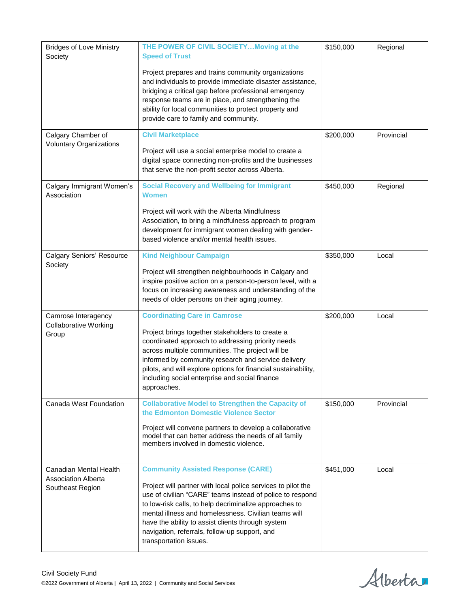| <b>Bridges of Love Ministry</b><br>Society                               | THE POWER OF CIVIL SOCIETY Moving at the<br><b>Speed of Trust</b><br>Project prepares and trains community organizations<br>and individuals to provide immediate disaster assistance,<br>bridging a critical gap before professional emergency<br>response teams are in place, and strengthening the<br>ability for local communities to protect property and<br>provide care to family and community.                   | \$150,000 | Regional   |
|--------------------------------------------------------------------------|--------------------------------------------------------------------------------------------------------------------------------------------------------------------------------------------------------------------------------------------------------------------------------------------------------------------------------------------------------------------------------------------------------------------------|-----------|------------|
| Calgary Chamber of<br><b>Voluntary Organizations</b>                     | <b>Civil Marketplace</b><br>Project will use a social enterprise model to create a<br>digital space connecting non-profits and the businesses<br>that serve the non-profit sector across Alberta.                                                                                                                                                                                                                        | \$200,000 | Provincial |
| Calgary Immigrant Women's<br>Association                                 | <b>Social Recovery and Wellbeing for Immigrant</b><br><b>Women</b><br>Project will work with the Alberta Mindfulness<br>Association, to bring a mindfulness approach to program<br>development for immigrant women dealing with gender-<br>based violence and/or mental health issues.                                                                                                                                   | \$450,000 | Regional   |
| <b>Calgary Seniors' Resource</b><br>Society                              | <b>Kind Neighbour Campaign</b><br>Project will strengthen neighbourhoods in Calgary and<br>inspire positive action on a person-to-person level, with a<br>focus on increasing awareness and understanding of the<br>needs of older persons on their aging journey.                                                                                                                                                       | \$350,000 | Local      |
| Camrose Interagency<br><b>Collaborative Working</b><br>Group             | <b>Coordinating Care in Camrose</b><br>Project brings together stakeholders to create a<br>coordinated approach to addressing priority needs<br>across multiple communities. The project will be<br>informed by community research and service delivery<br>pilots, and will explore options for financial sustainability,<br>including social enterprise and social finance<br>approaches.                               | \$200,000 | Local      |
| Canada West Foundation                                                   | <b>Collaborative Model to Strengthen the Capacity of</b><br>the Edmonton Domestic Violence Sector<br>Project will convene partners to develop a collaborative<br>model that can better address the needs of all family<br>members involved in domestic violence.                                                                                                                                                         | \$150,000 | Provincial |
| Canadian Mental Health<br><b>Association Alberta</b><br>Southeast Region | <b>Community Assisted Response (CARE)</b><br>Project will partner with local police services to pilot the<br>use of civilian "CARE" teams instead of police to respond<br>to low-risk calls, to help decriminalize approaches to<br>mental illness and homelessness. Civilian teams will<br>have the ability to assist clients through system<br>navigation, referrals, follow-up support, and<br>transportation issues. | \$451,000 | Local      |

Alberta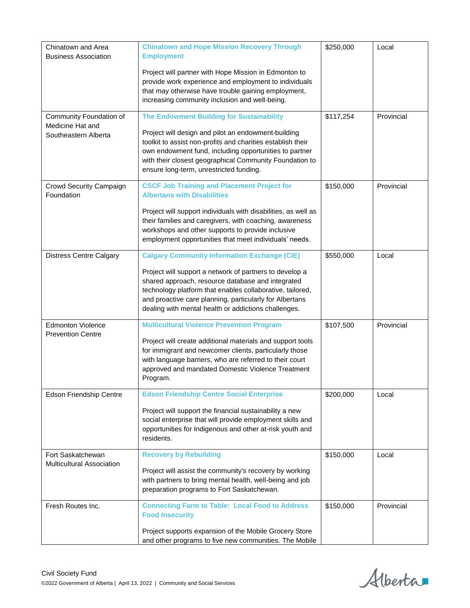| Chinatown and Area<br><b>Business Association</b>                   | <b>Chinatown and Hope Mission Recovery Through</b><br><b>Employment</b><br>Project will partner with Hope Mission in Edmonton to<br>provide work experience and employment to individuals<br>that may otherwise have trouble gaining employment,<br>increasing community inclusion and well-being.                                                  | \$250,000 | Local      |
|---------------------------------------------------------------------|-----------------------------------------------------------------------------------------------------------------------------------------------------------------------------------------------------------------------------------------------------------------------------------------------------------------------------------------------------|-----------|------------|
| Community Foundation of<br>Medicine Hat and<br>Southeastern Alberta | <b>The Endowment Building for Sustainability</b><br>Project will design and pilot an endowment-building<br>toolkit to assist non-profits and charities establish their<br>own endowment fund, including opportunities to partner<br>with their closest geographical Community Foundation to<br>ensure long-term, unrestricted funding.              | \$117,254 | Provincial |
| Crowd Security Campaign<br>Foundation                               | <b>CSCF Job Training and Placement Project for</b><br><b>Albertans with Disabilities</b><br>Project will support individuals with disabilities, as well as<br>their families and caregivers, with coaching, awareness<br>workshops and other supports to provide inclusive<br>employment opportunities that meet individuals' needs.                | \$150,000 | Provincial |
| <b>Distress Centre Calgary</b>                                      | <b>Calgary Community Information Exchange (CIE)</b><br>Project will support a network of partners to develop a<br>shared approach, resource database and integrated<br>technology platform that enables collaborative, tailored,<br>and proactive care planning, particularly for Albertans<br>dealing with mental health or addictions challenges. | \$550,000 | Local      |
| <b>Edmonton Violence</b><br><b>Prevention Centre</b>                | <b>Multicultural Violence Prevention Program</b><br>Project will create additional materials and support tools<br>for immigrant and newcomer clients, particularly those<br>with language barriers, who are referred to their court<br>approved and mandated Domestic Violence Treatment<br>Program.                                                | \$107,500 | Provincial |
| Edson Friendship Centre                                             | <b>Edson Friendship Centre Social Enterprise</b><br>Project will support the financial sustainability a new<br>social enterprise that will provide employment skills and<br>opportunities for Indigenous and other at-risk youth and<br>residents.                                                                                                  | \$200,000 | Local      |
| Fort Saskatchewan<br><b>Multicultural Association</b>               | <b>Recovery by Rebuilding</b><br>Project will assist the community's recovery by working<br>with partners to bring mental health, well-being and job<br>preparation programs to Fort Saskatchewan.                                                                                                                                                  | \$150,000 | Local      |
| Fresh Routes Inc.                                                   | <b>Connecting Farm to Table: Local Food to Address</b><br><b>Food Insecurity</b><br>Project supports expansion of the Mobile Grocery Store<br>and other programs to five new communities. The Mobile                                                                                                                                                | \$150,000 | Provincial |

Alberta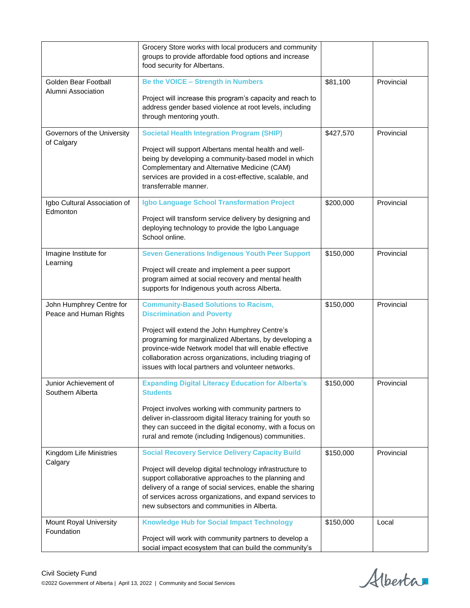|                                                    | Grocery Store works with local producers and community<br>groups to provide affordable food options and increase<br>food security for Albertans.                                                                                                                                          |           |            |
|----------------------------------------------------|-------------------------------------------------------------------------------------------------------------------------------------------------------------------------------------------------------------------------------------------------------------------------------------------|-----------|------------|
| Golden Bear Football                               | <b>Be the VOICE - Strength in Numbers</b>                                                                                                                                                                                                                                                 | \$81,100  | Provincial |
| Alumni Association                                 | Project will increase this program's capacity and reach to<br>address gender based violence at root levels, including<br>through mentoring youth.                                                                                                                                         |           |            |
| Governors of the University                        | <b>Societal Health Integration Program (SHIP)</b>                                                                                                                                                                                                                                         | \$427,570 | Provincial |
| of Calgary                                         | Project will support Albertans mental health and well-<br>being by developing a community-based model in which<br>Complementary and Alternative Medicine (CAM)<br>services are provided in a cost-effective, scalable, and<br>transferrable manner.                                       |           |            |
| Igbo Cultural Association of                       | Igbo Language School Transformation Project                                                                                                                                                                                                                                               | \$200,000 | Provincial |
| Edmonton                                           | Project will transform service delivery by designing and<br>deploying technology to provide the Igbo Language<br>School online.                                                                                                                                                           |           |            |
| Imagine Institute for                              | <b>Seven Generations Indigenous Youth Peer Support</b>                                                                                                                                                                                                                                    | \$150,000 | Provincial |
| Learning                                           | Project will create and implement a peer support<br>program aimed at social recovery and mental health<br>supports for Indigenous youth across Alberta.                                                                                                                                   |           |            |
| John Humphrey Centre for<br>Peace and Human Rights | <b>Community-Based Solutions to Racism,</b><br><b>Discrimination and Poverty</b>                                                                                                                                                                                                          | \$150,000 | Provincial |
|                                                    | Project will extend the John Humphrey Centre's<br>programing for marginalized Albertans, by developing a<br>province-wide Network model that will enable effective<br>collaboration across organizations, including triaging of<br>issues with local partners and volunteer networks.     |           |            |
| Junior Achievement of<br>Southern Alberta          | <b>Expanding Digital Literacy Education for Alberta's</b><br><b>Students</b>                                                                                                                                                                                                              | \$150,000 | Provincial |
|                                                    | Project involves working with community partners to<br>deliver in-classroom digital literacy training for youth so<br>they can succeed in the digital economy, with a focus on<br>rural and remote (including Indigenous) communities.                                                    |           |            |
| Kingdom Life Ministries                            | <b>Social Recovery Service Delivery Capacity Build</b>                                                                                                                                                                                                                                    | \$150,000 | Provincial |
| Calgary                                            | Project will develop digital technology infrastructure to<br>support collaborative approaches to the planning and<br>delivery of a range of social services, enable the sharing<br>of services across organizations, and expand services to<br>new subsectors and communities in Alberta. |           |            |
| Mount Royal University                             | <b>Knowledge Hub for Social Impact Technology</b>                                                                                                                                                                                                                                         | \$150,000 | Local      |
| Foundation                                         | Project will work with community partners to develop a<br>social impact ecosystem that can build the community's                                                                                                                                                                          |           |            |

Alberta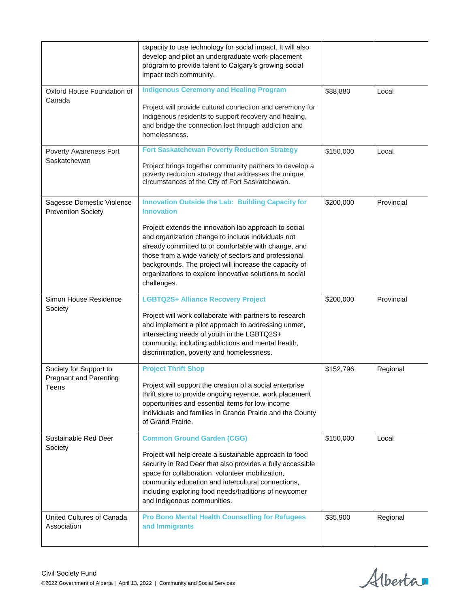|                                                                  | capacity to use technology for social impact. It will also<br>develop and pilot an undergraduate work-placement<br>program to provide talent to Calgary's growing social<br>impact tech community.                                                                                                                                                                                                                                                |           |            |
|------------------------------------------------------------------|---------------------------------------------------------------------------------------------------------------------------------------------------------------------------------------------------------------------------------------------------------------------------------------------------------------------------------------------------------------------------------------------------------------------------------------------------|-----------|------------|
| Oxford House Foundation of<br>Canada                             | <b>Indigenous Ceremony and Healing Program</b><br>Project will provide cultural connection and ceremony for<br>Indigenous residents to support recovery and healing,<br>and bridge the connection lost through addiction and<br>homelessness.                                                                                                                                                                                                     | \$88,880  | Local      |
| Poverty Awareness Fort<br>Saskatchewan                           | <b>Fort Saskatchewan Poverty Reduction Strategy</b><br>Project brings together community partners to develop a<br>poverty reduction strategy that addresses the unique<br>circumstances of the City of Fort Saskatchewan.                                                                                                                                                                                                                         | \$150,000 | Local      |
| Sagesse Domestic Violence<br><b>Prevention Society</b>           | <b>Innovation Outside the Lab: Building Capacity for</b><br><b>Innovation</b><br>Project extends the innovation lab approach to social<br>and organization change to include individuals not<br>already committed to or comfortable with change, and<br>those from a wide variety of sectors and professional<br>backgrounds. The project will increase the capacity of<br>organizations to explore innovative solutions to social<br>challenges. | \$200,000 | Provincial |
| Simon House Residence<br>Society                                 | <b>LGBTQ2S+ Alliance Recovery Project</b><br>Project will work collaborate with partners to research                                                                                                                                                                                                                                                                                                                                              | \$200,000 | Provincial |
|                                                                  | and implement a pilot approach to addressing unmet,<br>intersecting needs of youth in the LGBTQ2S+<br>community, including addictions and mental health,<br>discrimination, poverty and homelessness.                                                                                                                                                                                                                                             |           |            |
| Society for Support to<br><b>Pregnant and Parenting</b><br>Teens | <b>Project Thrift Shop</b><br>Project will support the creation of a social enterprise<br>thrift store to provide ongoing revenue, work placement<br>opportunities and essential items for low-income<br>individuals and families in Grande Prairie and the County<br>of Grand Prairie.                                                                                                                                                           | \$152,796 | Regional   |
| Sustainable Red Deer<br>Society                                  | <b>Common Ground Garden (CGG)</b><br>Project will help create a sustainable approach to food<br>security in Red Deer that also provides a fully accessible<br>space for collaboration, volunteer mobilization,<br>community education and intercultural connections,<br>including exploring food needs/traditions of newcomer<br>and Indigenous communities.                                                                                      | \$150,000 | Local      |

Alberta